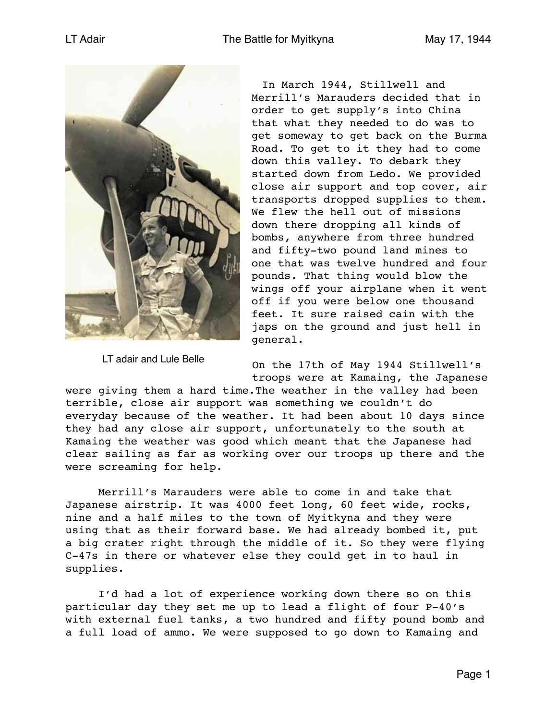

LT adair and Lule Belle

In March 1944, Stillwell and Merrill's Marauders decided that in order to get supply's into China that what they needed to do was to get someway to get back on the Burma Road. To get to it they had to come down this valley. To debark they started down from Ledo. We provided close air support and top cover, air transports dropped supplies to them. We flew the hell out of missions down there dropping all kinds of bombs, anywhere from three hundred and fifty-two pound land mines to one that was twelve hundred and four pounds. That thing would blow the wings off your airplane when it went off if you were below one thousand feet. It sure raised cain with the japs on the ground and just hell in general.

On the 17th of May 1944 Stillwell's troops were at Kamaing, the Japanese

were giving them a hard time.The weather in the valley had been terrible, close air support was something we couldn't do everyday because of the weather. It had been about 10 days since they had any close air support, unfortunately to the south at Kamaing the weather was good which meant that the Japanese had clear sailing as far as working over our troops up there and the were screaming for help.

Merrill's Marauders were able to come in and take that Japanese airstrip. It was 4000 feet long, 60 feet wide, rocks, nine and a half miles to the town of Myitkyna and they were using that as their forward base. We had already bombed it, put a big crater right through the middle of it. So they were flying C-47s in there or whatever else they could get in to haul in supplies.

I'd had a lot of experience working down there so on this particular day they set me up to lead a flight of four P-40's with external fuel tanks, a two hundred and fifty pound bomb and a full load of ammo. We were supposed to go down to Kamaing and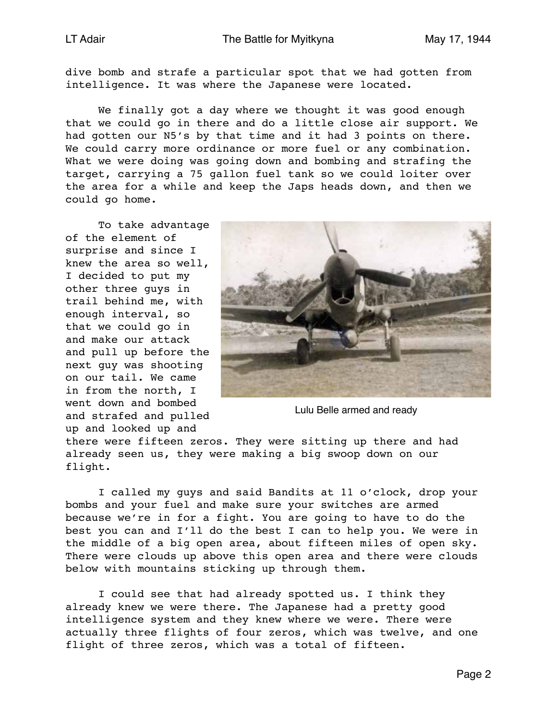dive bomb and strafe a particular spot that we had gotten from intelligence. It was where the Japanese were located.

We finally got a day where we thought it was good enough that we could go in there and do a little close air support. We had gotten our N5's by that time and it had 3 points on there. We could carry more ordinance or more fuel or any combination. What we were doing was going down and bombing and strafing the target, carrying a 75 gallon fuel tank so we could loiter over the area for a while and keep the Japs heads down, and then we could go home.

To take advantage of the element of surprise and since I knew the area so well, I decided to put my other three guys in trail behind me, with enough interval, so that we could go in and make our attack and pull up before the next guy was shooting on our tail. We came in from the north, I went down and bombed and strafed and pulled up and looked up and



Lulu Belle armed and ready

there were fifteen zeros. They were sitting up there and had already seen us, they were making a big swoop down on our flight.

I called my guys and said Bandits at 11 o'clock, drop your bombs and your fuel and make sure your switches are armed because we're in for a fight. You are going to have to do the best you can and I'll do the best I can to help you. We were in the middle of a big open area, about fifteen miles of open sky. There were clouds up above this open area and there were clouds below with mountains sticking up through them.

I could see that had already spotted us. I think they already knew we were there. The Japanese had a pretty good intelligence system and they knew where we were. There were actually three flights of four zeros, which was twelve, and one flight of three zeros, which was a total of fifteen.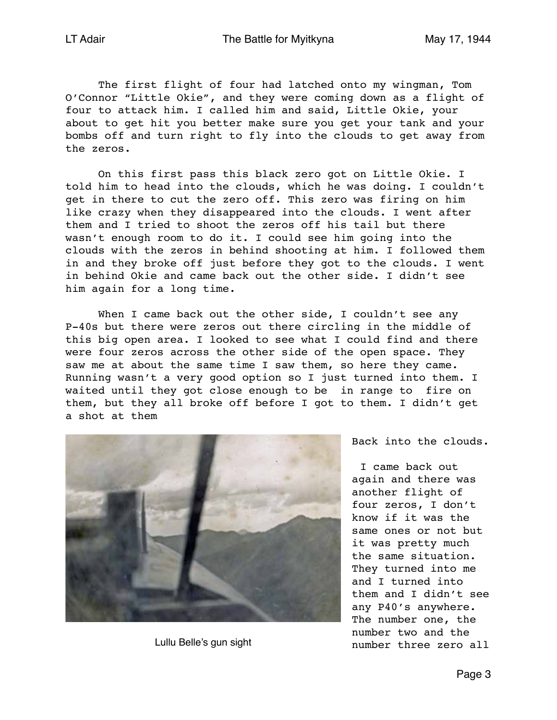The first flight of four had latched onto my wingman, Tom O'Connor "Little Okie", and they were coming down as a flight of four to attack him. I called him and said, Little Okie, your about to get hit you better make sure you get your tank and your bombs off and turn right to fly into the clouds to get away from the zeros.

On this first pass this black zero got on Little Okie. I told him to head into the clouds, which he was doing. I couldn't get in there to cut the zero off. This zero was firing on him like crazy when they disappeared into the clouds. I went after them and I tried to shoot the zeros off his tail but there wasn't enough room to do it. I could see him going into the clouds with the zeros in behind shooting at him. I followed them in and they broke off just before they got to the clouds. I went in behind Okie and came back out the other side. I didn't see him again for a long time.

When I came back out the other side, I couldn't see any P-40s but there were zeros out there circling in the middle of this big open area. I looked to see what I could find and there were four zeros across the other side of the open space. They saw me at about the same time I saw them, so here they came. Running wasn't a very good option so I just turned into them. I waited until they got close enough to be in range to fire on them, but they all broke off before I got to them. I didn't get a shot at them



Lullu Belle's gun sight

Back into the clouds.

I came back out again and there was another flight of four zeros, I don't know if it was the same ones or not but it was pretty much the same situation. They turned into me and I turned into them and I didn't see any P40's anywhere. The number one, the number two and the number three zero all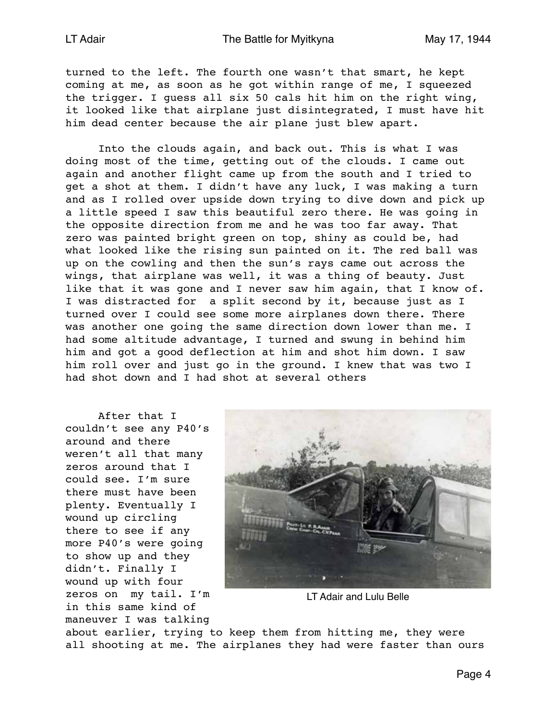turned to the left. The fourth one wasn't that smart, he kept coming at me, as soon as he got within range of me, I squeezed the trigger. I guess all six 50 cals hit him on the right wing, it looked like that airplane just disintegrated, I must have hit him dead center because the air plane just blew apart.

Into the clouds again, and back out. This is what I was doing most of the time, getting out of the clouds. I came out again and another flight came up from the south and I tried to get a shot at them. I didn't have any luck, I was making a turn and as I rolled over upside down trying to dive down and pick up a little speed I saw this beautiful zero there. He was going in the opposite direction from me and he was too far away. That zero was painted bright green on top, shiny as could be, had what looked like the rising sun painted on it. The red ball was up on the cowling and then the sun's rays came out across the wings, that airplane was well, it was a thing of beauty. Just like that it was gone and I never saw him again, that I know of. I was distracted for a split second by it, because just as I turned over I could see some more airplanes down there. There was another one going the same direction down lower than me. I had some altitude advantage, I turned and swung in behind him him and got a good deflection at him and shot him down. I saw him roll over and just go in the ground. I knew that was two I had shot down and I had shot at several others

After that I couldn't see any P40's around and there weren't all that many zeros around that I could see. I'm sure there must have been plenty. Eventually I wound up circling there to see if any more P40's were going to show up and they didn't. Finally I wound up with four zeros on my tail. I'm in this same kind of maneuver I was talking



LT Adair and Lulu Belle

about earlier, trying to keep them from hitting me, they were all shooting at me. The airplanes they had were faster than ours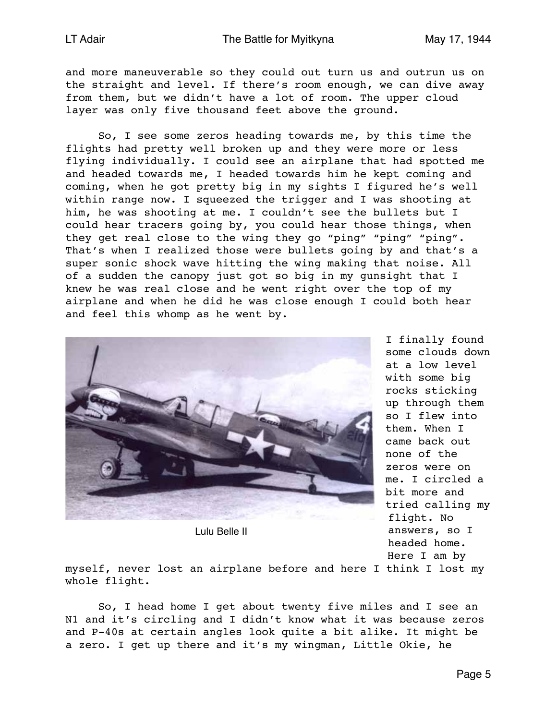and more maneuverable so they could out turn us and outrun us on the straight and level. If there's room enough, we can dive away from them, but we didn't have a lot of room. The upper cloud layer was only five thousand feet above the ground.

So, I see some zeros heading towards me, by this time the flights had pretty well broken up and they were more or less flying individually. I could see an airplane that had spotted me and headed towards me, I headed towards him he kept coming and coming, when he got pretty big in my sights I figured he's well within range now. I squeezed the trigger and I was shooting at him, he was shooting at me. I couldn't see the bullets but I could hear tracers going by, you could hear those things, when they get real close to the wing they go "ping" "ping" "ping". That's when I realized those were bullets going by and that's a super sonic shock wave hitting the wing making that noise. All of a sudden the canopy just got so big in my gunsight that I knew he was real close and he went right over the top of my airplane and when he did he was close enough I could both hear and feel this whomp as he went by.



Lulu Belle II

I finally found some clouds down at a low level with some big rocks sticking up through them so I flew into them. When I came back out none of the zeros were on me. I circled a bit more and tried calling my flight. No answers, so I headed home. Here I am by

myself, never lost an airplane before and here I think I lost my whole flight.

So, I head home I get about twenty five miles and I see an N1 and it's circling and I didn't know what it was because zeros and P-40s at certain angles look quite a bit alike. It might be a zero. I get up there and it's my wingman, Little Okie, he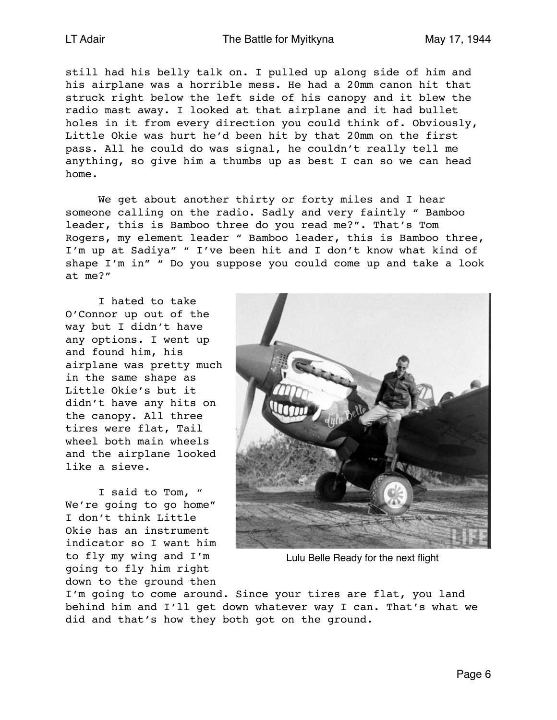still had his belly talk on. I pulled up along side of him and his airplane was a horrible mess. He had a 20mm canon hit that struck right below the left side of his canopy and it blew the radio mast away. I looked at that airplane and it had bullet holes in it from every direction you could think of. Obviously, Little Okie was hurt he'd been hit by that 20mm on the first pass. All he could do was signal, he couldn't really tell me anything, so give him a thumbs up as best I can so we can head home.

We get about another thirty or forty miles and I hear someone calling on the radio. Sadly and very faintly " Bamboo leader, this is Bamboo three do you read me?". That's Tom Rogers, my element leader " Bamboo leader, this is Bamboo three, I'm up at Sadiya" " I've been hit and I don't know what kind of shape I'm in" " Do you suppose you could come up and take a look at me?"

I hated to take O'Connor up out of the way but I didn't have any options. I went up and found him, his airplane was pretty much in the same shape as Little Okie's but it didn't have any hits on the canopy. All three tires were flat, Tail wheel both main wheels and the airplane looked like a sieve.

I said to Tom, " We're going to go home" I don't think Little Okie has an instrument indicator so I want him to fly my wing and I'm going to fly him right down to the ground then



Lulu Belle Ready for the next flight

I'm going to come around. Since your tires are flat, you land behind him and I'll get down whatever way I can. That's what we did and that's how they both got on the ground.